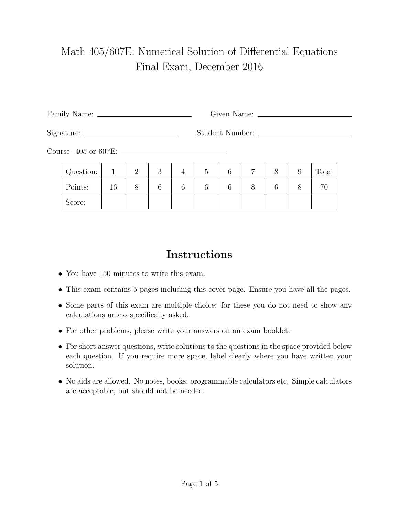## Math 405/607E: Numerical Solution of Differential Equations Final Exam, December 2016

Family Name: Given Name:

Signature: Student Number:

Course: 405 or 607E:

| Question: |    | ↵ | ◡ | Ġ | ⌒ | − | 9 | Total |
|-----------|----|---|---|---|---|---|---|-------|
| Points:   | 16 |   |   |   | ⌒ |   |   |       |
| Score:    |    |   |   |   |   |   |   |       |

## Instructions

- You have 150 minutes to write this exam.
- This exam contains 5 pages including this cover page. Ensure you have all the pages.
- Some parts of this exam are multiple choice: for these you do not need to show any calculations unless specifically asked.
- For other problems, please write your answers on an exam booklet.
- For short answer questions, write solutions to the questions in the space provided below each question. If you require more space, label clearly where you have written your solution.
- No aids are allowed. No notes, books, programmable calculators etc. Simple calculators are acceptable, but should not be needed.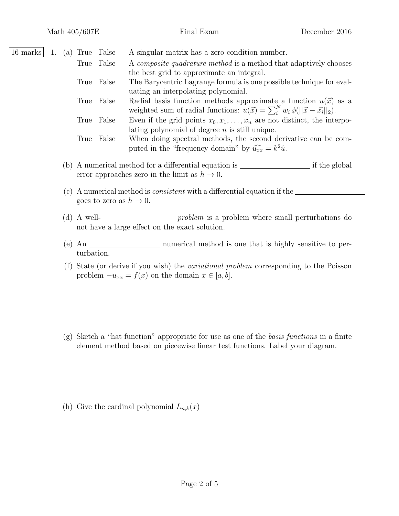16 marks 1. (a) True False A singular matrix has a zero condition number.

|  | True False | A <i>composite quadrature method</i> is a method that adaptively chooses                              |
|--|------------|-------------------------------------------------------------------------------------------------------|
|  |            | the best grid to approximate an integral.                                                             |
|  | True False | The Barycentric Lagrange formula is one possible technique for eval-                                  |
|  |            | uating an interpolating polynomial.                                                                   |
|  | True False | Radial basis function methods approximate a function $u(\vec{x})$ as a                                |
|  |            | weighted sum of radial functions: $u(\vec{x}) = \sum_{i=1}^{N} w_i \phi(  \vec{x} - \vec{x_i}  _2)$ . |
|  | True False | Even if the grid points $x_0, x_1, \ldots, x_n$ are not distinct, the interpo-                        |
|  |            | lating polynomial of degree $n$ is still unique.                                                      |
|  | True False | When doing spectral methods, the second derivative can be com-                                        |
|  |            | puted in the "frequency domain" by $\widehat{u_{xx}} = k^2 \hat{u}$ .                                 |
|  |            |                                                                                                       |

- (b) A numerical method for a differential equation is  $\frac{1}{\sqrt{2\pi}}$  if the global error approaches zero in the limit as  $h \to 0$ .
- (c) A numerical method is consistent with a differential equation if the goes to zero as  $h \to 0$ .
- (d) A well- $\frac{p_{\text{v}}}{p_{\text{v}}}$  problem is a problem where small perturbations do not have a large effect on the exact solution.
- (e) An <u>numerical</u> method is one that is highly sensitive to perturbation.
- (f) State (or derive if you wish) the variational problem corresponding to the Poisson problem  $-u_{xx} = f(x)$  on the domain  $x \in [a, b]$ .
- (g) Sketch a "hat function" appropriate for use as one of the basis functions in a finite element method based on piecewise linear test functions. Label your diagram.

(h) Give the cardinal polynomial  $L_{n,k}(x)$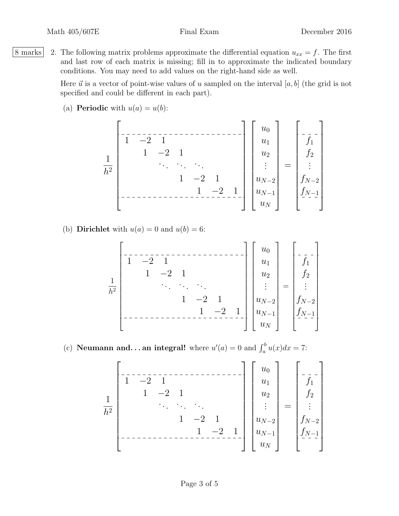8 marks 2. The following matrix problems approximate the differential equation  $u_{xx} = f$ . The first and last row of each matrix is missing; fill in to approximate the indicated boundary conditions. You may need to add values on the right-hand side as well.

> Here  $\vec{u}$  is a vector of point-wise values of u sampled on the interval [a, b] (the grid is not specified and could be different in each part).

(a) **Periodic** with  $u(a) = u(b)$ :

1 h 2 1 −2 1 1 −2 1 . . . . . . . . . 1 −2 1 1 −2 1 u0 u1 u2 . . . uN−<sup>2</sup> uN−<sup>1</sup> u<sup>N</sup> = f1 f2 . . . fN−<sup>2</sup> fN−<sup>1</sup> 

(b) **Dirichlet** with  $u(a) = 0$  and  $u(b) = 6$ :

(c) **Neumann and...an integral!** where  $u'(a) = 0$  and  $\int_a^b u(x)dx = 7$ :

1 h 2 1 −2 1 1 −2 1 . . . . . . . . . 1 −2 1 1 −2 1 u0 u1 u2 . . . uN−<sup>2</sup> uN−<sup>1</sup> u<sup>N</sup> = f1 f2 . . . fN−<sup>2</sup> fN−<sup>1</sup>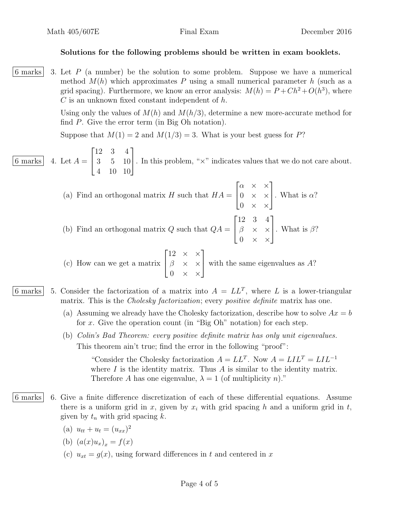## Solutions for the following problems should be written in exam booklets.

6 marks  $\vert$  3. Let P (a number) be the solution to some problem. Suppose we have a numerical method  $M(h)$  which approximates P using a small numerical parameter h (such as a grid spacing). Furthermore, we know an error analysis:  $M(h) = P + Ch^2 + O(h^3)$ , where  $C$  is an unknown fixed constant independent of  $h$ .

> Using only the values of  $M(h)$  and  $M(h/3)$ , determine a new more-accurate method for find P. Give the error term (in Big Oh notation).

Suppose that  $M(1) = 2$  and  $M(1/3) = 3$ . What is your best guess for P?

6 marks  $4.$  Let  $A =$  $\sqrt{ }$  $\vert$ 12 3 4 3 5 10 4 10 10 1 . In this problem, "×" indicates values that we do not care about.

> (a) Find an orthogonal matrix H such that  $HA =$  $\lceil$  $\overline{1}$  $\alpha \times \times$  $0 \times \times$  $0 \times \times$ 1 | What is  $\alpha$ ? (b) Find an orthogonal matrix  $Q$  such that  $QA =$  $\sqrt{ }$  $\overline{\phantom{a}}$ 12 3 4  $\beta \times \times$  $0 \times \times$ 1  $\cdot$  What is  $\beta$ ?

(c) How can we get a matrix  $\sqrt{ }$  $\overline{1}$ 12  $\times$   $\times$  $\beta \times \times$  $0 \times \times$ 1 with the same eigenvalues as  $A$ ?

- 6 marks | 5. Consider the factorization of a matrix into  $A = LL^T$ , where L is a lower-triangular matrix. This is the *Cholesky factorization*; every *positive definite* matrix has one.
	- (a) Assuming we already have the Cholesky factorization, describe how to solve  $Ax = b$ for x. Give the operation count (in "Big Oh" notation) for each step.
	- (b) Colin's Bad Theorem: every positive definite matrix has only unit eigenvalues. This theorem ain't true; find the error in the following "proof":

"Consider the Cholesky factorization  $A = LL^T$ . Now  $A = LIL^T = LIL^{-1}$ where  $I$  is the identity matrix. Thus  $A$  is similar to the identity matrix. Therefore A has one eigenvalue,  $\lambda = 1$  (of multiplicity n)."

- 6 marks 6. Give a finite difference discretization of each of these differential equations. Assume there is a uniform grid in x, given by  $x_i$  with grid spacing h and a uniform grid in t, given by  $t_n$  with grid spacing k.
	- (a)  $u_{tt} + u_t = (u_{xx})^2$
	- (b)  $(a(x)u_x)_x = f(x)$
	- (c)  $u_{xt} = g(x)$ , using forward differences in t and centered in x